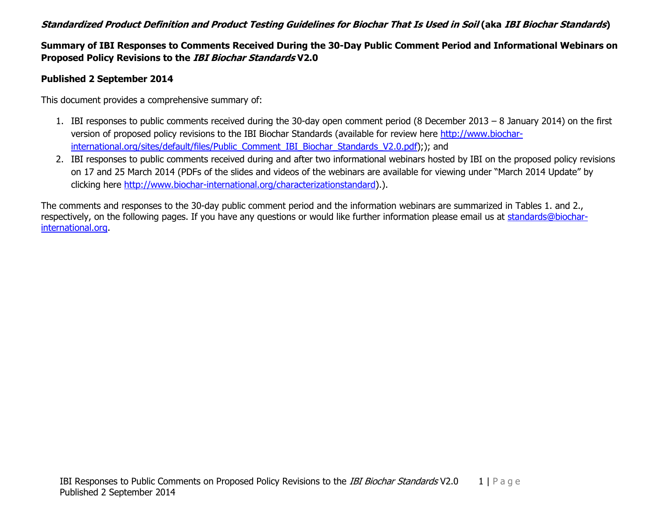## Standardized Product Definition and Product Testing Guidelines for Biochar That Is Used in Soil (aka IBI Biochar Standards)

## Summary of IBI Responses to Comments Received During the 30-Day Public Comment Period and Informational Webinars on Proposed Policy Revisions to the IBI Biochar Standards V2.0

## Published 2 September 2014

This document provides a comprehensive summary of:

- 1. IBI responses to public comments received during the 30-day open comment period (8 December 2013 8 January 2014) on the first version of proposed policy revisions to the IBI Biochar Standards (available for review here http://www.biocharinternational.org/sites/default/files/Public\_Comment\_IBI\_Biochar\_Standards\_V2.0.pdf);); and
- 2. IBI responses to public comments received during and after two informational webinars hosted by IBI on the proposed policy revisions on 17 and 25 March 2014 (PDFs of the slides and videos of the webinars are available for viewing under "March 2014 Update" by clicking here http://www.biochar-international.org/characterizationstandard).).

The comments and responses to the 30-day public comment period and the information webinars are summarized in Tables 1. and 2., respectively, on the following pages. If you have any questions or would like further information please email us at standards@biocharinternational.org.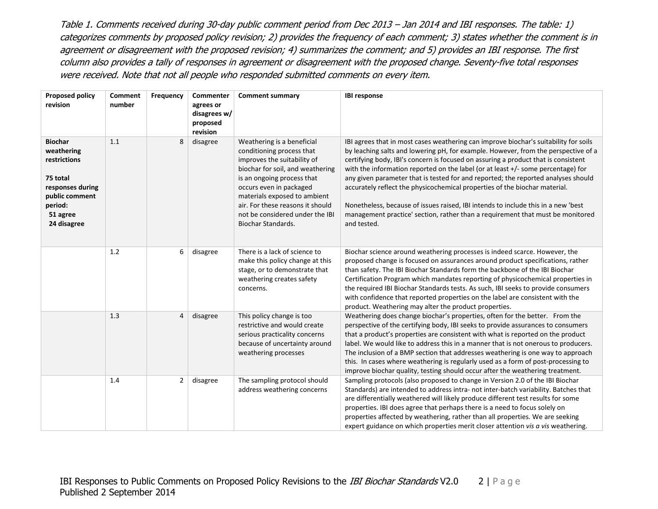Table 1. Comments received during 30-day public comment period from Dec 2013 – Jan 2014 and IBI responses. The table: 1) categorizes comments by proposed policy revision; 2) provides the frequency of each comment; 3) states whether the comment is in agreement or disagreement with the proposed revision; 4) summarizes the comment; and 5) provides an IBI response. The first column also provides a tally of responses in agreement or disagreement with the proposed change. Seventy-five total responses were received. Note that not all people who responded submitted comments on every item.

| <b>Proposed policy</b><br>revision                                                                                                   | <b>Comment</b><br>number | <b>Frequency</b> | Commenter<br>agrees or<br>disagrees w/<br>proposed<br>revision | <b>Comment summary</b>                                                                                                                                                                                                                                                                                           | <b>IBI response</b>                                                                                                                                                                                                                                                                                                                                                                                                                                                                                                                                                                                                                                                                                           |
|--------------------------------------------------------------------------------------------------------------------------------------|--------------------------|------------------|----------------------------------------------------------------|------------------------------------------------------------------------------------------------------------------------------------------------------------------------------------------------------------------------------------------------------------------------------------------------------------------|---------------------------------------------------------------------------------------------------------------------------------------------------------------------------------------------------------------------------------------------------------------------------------------------------------------------------------------------------------------------------------------------------------------------------------------------------------------------------------------------------------------------------------------------------------------------------------------------------------------------------------------------------------------------------------------------------------------|
| <b>Biochar</b><br>weathering<br>restrictions<br>75 total<br>responses during<br>public comment<br>period:<br>51 agree<br>24 disagree | 1.1                      | 8                | disagree                                                       | Weathering is a beneficial<br>conditioning process that<br>improves the suitability of<br>biochar for soil, and weathering<br>is an ongoing process that<br>occurs even in packaged<br>materials exposed to ambient<br>air. For these reasons it should<br>not be considered under the IBI<br>Biochar Standards. | IBI agrees that in most cases weathering can improve biochar's suitability for soils<br>by leaching salts and lowering pH, for example. However, from the perspective of a<br>certifying body, IBI's concern is focused on assuring a product that is consistent<br>with the information reported on the label (or at least +/- some percentage) for<br>any given parameter that is tested for and reported; the reported analyses should<br>accurately reflect the physicochemical properties of the biochar material.<br>Nonetheless, because of issues raised, IBI intends to include this in a new 'best<br>management practice' section, rather than a requirement that must be monitored<br>and tested. |
|                                                                                                                                      | 1.2                      | 6                | disagree                                                       | There is a lack of science to<br>make this policy change at this<br>stage, or to demonstrate that<br>weathering creates safety<br>concerns.                                                                                                                                                                      | Biochar science around weathering processes is indeed scarce. However, the<br>proposed change is focused on assurances around product specifications, rather<br>than safety. The IBI Biochar Standards form the backbone of the IBI Biochar<br>Certification Program which mandates reporting of physicochemical properties in<br>the required IBI Biochar Standards tests. As such, IBI seeks to provide consumers<br>with confidence that reported properties on the label are consistent with the<br>product. Weathering may alter the product properties.                                                                                                                                                 |
|                                                                                                                                      | 1.3                      | $\overline{4}$   | disagree                                                       | This policy change is too<br>restrictive and would create<br>serious practicality concerns<br>because of uncertainty around<br>weathering processes                                                                                                                                                              | Weathering does change biochar's properties, often for the better. From the<br>perspective of the certifying body, IBI seeks to provide assurances to consumers<br>that a product's properties are consistent with what is reported on the product<br>label. We would like to address this in a manner that is not onerous to producers.<br>The inclusion of a BMP section that addresses weathering is one way to approach<br>this. In cases where weathering is regularly used as a form of post-processing to<br>improve biochar quality, testing should occur after the weathering treatment.                                                                                                             |
|                                                                                                                                      | 1.4                      | 2                | disagree                                                       | The sampling protocol should<br>address weathering concerns                                                                                                                                                                                                                                                      | Sampling protocols (also proposed to change in Version 2.0 of the IBI Biochar<br>Standards) are intended to address intra- not inter-batch variability. Batches that<br>are differentially weathered will likely produce different test results for some<br>properties. IBI does agree that perhaps there is a need to focus solely on<br>properties affected by weathering, rather than all properties. We are seeking<br>expert guidance on which properties merit closer attention vis a vis weathering.                                                                                                                                                                                                   |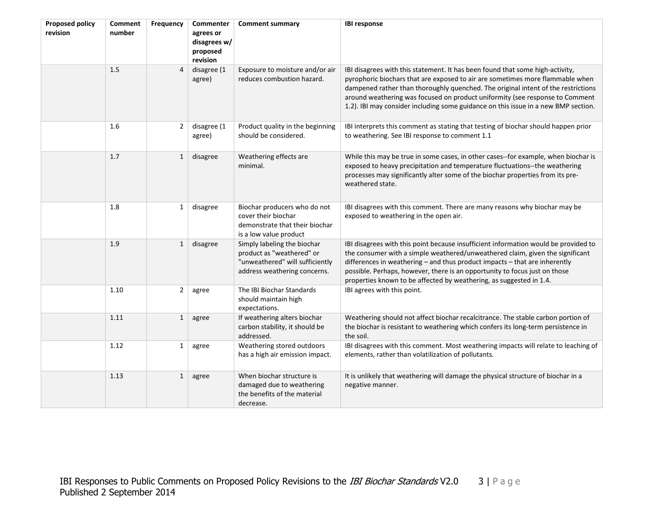| <b>Proposed policy</b><br>revision | <b>Comment</b><br>number | Frequency      | Commenter<br>agrees or<br>disagrees w/<br>proposed<br>revision | <b>Comment summary</b>                                                                                                      | <b>IBI response</b>                                                                                                                                                                                                                                                                                                                                                                                                       |
|------------------------------------|--------------------------|----------------|----------------------------------------------------------------|-----------------------------------------------------------------------------------------------------------------------------|---------------------------------------------------------------------------------------------------------------------------------------------------------------------------------------------------------------------------------------------------------------------------------------------------------------------------------------------------------------------------------------------------------------------------|
|                                    | 1.5                      | 4              | disagree (1<br>agree)                                          | Exposure to moisture and/or air<br>reduces combustion hazard.                                                               | IBI disagrees with this statement. It has been found that some high-activity,<br>pyrophoric biochars that are exposed to air are sometimes more flammable when<br>dampened rather than thoroughly quenched. The original intent of the restrictions<br>around weathering was focused on product uniformity (see response to Comment<br>1.2). IBI may consider including some guidance on this issue in a new BMP section. |
|                                    | 1.6                      | $\overline{2}$ | disagree (1<br>agree)                                          | Product quality in the beginning<br>should be considered.                                                                   | IBI interprets this comment as stating that testing of biochar should happen prior<br>to weathering. See IBI response to comment 1.1                                                                                                                                                                                                                                                                                      |
|                                    | 1.7                      | $\mathbf{1}$   | disagree                                                       | Weathering effects are<br>minimal.                                                                                          | While this may be true in some cases, in other cases--for example, when biochar is<br>exposed to heavy precipitation and temperature fluctuations--the weathering<br>processes may significantly alter some of the biochar properties from its pre-<br>weathered state.                                                                                                                                                   |
|                                    | 1.8                      | $\mathbf{1}$   | disagree                                                       | Biochar producers who do not<br>cover their biochar<br>demonstrate that their biochar<br>is a low value product             | IBI disagrees with this comment. There are many reasons why biochar may be<br>exposed to weathering in the open air.                                                                                                                                                                                                                                                                                                      |
|                                    | 1.9                      | $\mathbf{1}$   | disagree                                                       | Simply labeling the biochar<br>product as "weathered" or<br>"unweathered" will sufficiently<br>address weathering concerns. | IBI disagrees with this point because insufficient information would be provided to<br>the consumer with a simple weathered/unweathered claim, given the significant<br>differences in weathering - and thus product impacts - that are inherently<br>possible. Perhaps, however, there is an opportunity to focus just on those<br>properties known to be affected by weathering, as suggested in 1.4.                   |
|                                    | 1.10                     | $\overline{2}$ | agree                                                          | The IBI Biochar Standards<br>should maintain high<br>expectations.                                                          | IBI agrees with this point.                                                                                                                                                                                                                                                                                                                                                                                               |
|                                    | 1.11                     | $\mathbf{1}$   | agree                                                          | If weathering alters biochar<br>carbon stability, it should be<br>addressed.                                                | Weathering should not affect biochar recalcitrance. The stable carbon portion of<br>the biochar is resistant to weathering which confers its long-term persistence in<br>the soil.                                                                                                                                                                                                                                        |
|                                    | 1.12                     | $\mathbf{1}$   | agree                                                          | Weathering stored outdoors<br>has a high air emission impact.                                                               | IBI disagrees with this comment. Most weathering impacts will relate to leaching of<br>elements, rather than volatilization of pollutants.                                                                                                                                                                                                                                                                                |
|                                    | 1.13                     | $\mathbf{1}$   | agree                                                          | When biochar structure is<br>damaged due to weathering<br>the benefits of the material<br>decrease.                         | It is unlikely that weathering will damage the physical structure of biochar in a<br>negative manner.                                                                                                                                                                                                                                                                                                                     |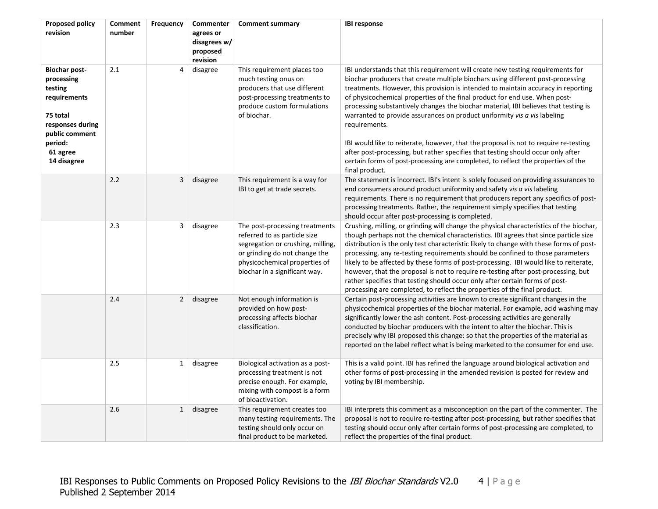| <b>Proposed policy</b><br>revision                                                                                                                    | Comment<br>number | Frequency      | Commenter<br>agrees or<br>disagrees w/<br>proposed<br>revision | <b>Comment summary</b>                                                                                                                                                                                 | <b>IBI response</b>                                                                                                                                                                                                                                                                                                                                                                                                                                                                                                                                                                                                                                                                                                                                                                                        |
|-------------------------------------------------------------------------------------------------------------------------------------------------------|-------------------|----------------|----------------------------------------------------------------|--------------------------------------------------------------------------------------------------------------------------------------------------------------------------------------------------------|------------------------------------------------------------------------------------------------------------------------------------------------------------------------------------------------------------------------------------------------------------------------------------------------------------------------------------------------------------------------------------------------------------------------------------------------------------------------------------------------------------------------------------------------------------------------------------------------------------------------------------------------------------------------------------------------------------------------------------------------------------------------------------------------------------|
| <b>Biochar post-</b><br>processing<br>testing<br>requirements<br>75 total<br>responses during<br>public comment<br>period:<br>61 agree<br>14 disagree | 2.1               | 4              | disagree                                                       | This requirement places too<br>much testing onus on<br>producers that use different<br>post-processing treatments to<br>produce custom formulations<br>of biochar.                                     | IBI understands that this requirement will create new testing requirements for<br>biochar producers that create multiple biochars using different post-processing<br>treatments. However, this provision is intended to maintain accuracy in reporting<br>of physicochemical properties of the final product for end use. When post-<br>processing substantively changes the biochar material, IBI believes that testing is<br>warranted to provide assurances on product uniformity vis a vis labeling<br>requirements.<br>IBI would like to reiterate, however, that the proposal is not to require re-testing<br>after post-processing, but rather specifies that testing should occur only after<br>certain forms of post-processing are completed, to reflect the properties of the<br>final product. |
|                                                                                                                                                       | 2.2               | 3              | disagree                                                       | This requirement is a way for<br>IBI to get at trade secrets.                                                                                                                                          | The statement is incorrect. IBI's intent is solely focused on providing assurances to<br>end consumers around product uniformity and safety vis a vis labeling<br>requirements. There is no requirement that producers report any specifics of post-<br>processing treatments. Rather, the requirement simply specifies that testing<br>should occur after post-processing is completed.                                                                                                                                                                                                                                                                                                                                                                                                                   |
|                                                                                                                                                       | 2.3               | 3              | disagree                                                       | The post-processing treatments<br>referred to as particle size<br>segregation or crushing, milling,<br>or grinding do not change the<br>physicochemical properties of<br>biochar in a significant way. | Crushing, milling, or grinding will change the physical characteristics of the biochar,<br>though perhaps not the chemical characteristics. IBI agrees that since particle size<br>distribution is the only test characteristic likely to change with these forms of post-<br>processing, any re-testing requirements should be confined to those parameters<br>likely to be affected by these forms of post-processing. IBI would like to reiterate,<br>however, that the proposal is not to require re-testing after post-processing, but<br>rather specifies that testing should occur only after certain forms of post-<br>processing are completed, to reflect the properties of the final product.                                                                                                   |
|                                                                                                                                                       | 2.4               | $\overline{2}$ | disagree                                                       | Not enough information is<br>provided on how post-<br>processing affects biochar<br>classification.                                                                                                    | Certain post-processing activities are known to create significant changes in the<br>physicochemical properties of the biochar material. For example, acid washing may<br>significantly lower the ash content. Post-processing activities are generally<br>conducted by biochar producers with the intent to alter the biochar. This is<br>precisely why IBI proposed this change: so that the properties of the material as<br>reported on the label reflect what is being marketed to the consumer for end use.                                                                                                                                                                                                                                                                                          |
|                                                                                                                                                       | 2.5               | $\mathbf{1}$   | disagree                                                       | Biological activation as a post-<br>processing treatment is not<br>precise enough. For example,<br>mixing with compost is a form<br>of bioactivation.                                                  | This is a valid point. IBI has refined the language around biological activation and<br>other forms of post-processing in the amended revision is posted for review and<br>voting by IBI membership.                                                                                                                                                                                                                                                                                                                                                                                                                                                                                                                                                                                                       |
|                                                                                                                                                       | 2.6               | $\mathbf{1}$   | disagree                                                       | This requirement creates too<br>many testing requirements. The<br>testing should only occur on<br>final product to be marketed.                                                                        | IBI interprets this comment as a misconception on the part of the commenter. The<br>proposal is not to require re-testing after post-processing, but rather specifies that<br>testing should occur only after certain forms of post-processing are completed, to<br>reflect the properties of the final product.                                                                                                                                                                                                                                                                                                                                                                                                                                                                                           |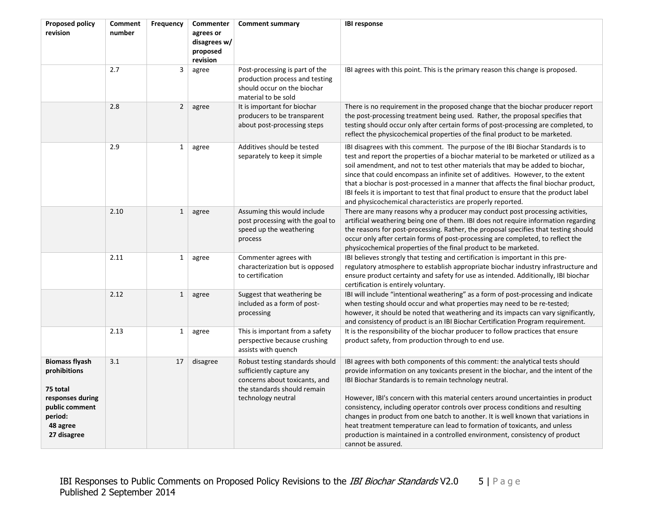| <b>Proposed policy</b><br>revision                                                                                            | Comment<br>number | <b>Frequency</b> | <b>Commenter</b><br>agrees or<br>disagrees w/<br>proposed<br>revision | <b>Comment summary</b>                                                                                                                            | <b>IBI response</b>                                                                                                                                                                                                                                                                                                                                                                                                                                                                                                                                                                                                                                                         |
|-------------------------------------------------------------------------------------------------------------------------------|-------------------|------------------|-----------------------------------------------------------------------|---------------------------------------------------------------------------------------------------------------------------------------------------|-----------------------------------------------------------------------------------------------------------------------------------------------------------------------------------------------------------------------------------------------------------------------------------------------------------------------------------------------------------------------------------------------------------------------------------------------------------------------------------------------------------------------------------------------------------------------------------------------------------------------------------------------------------------------------|
|                                                                                                                               | 2.7               | 3                | agree                                                                 | Post-processing is part of the<br>production process and testing<br>should occur on the biochar<br>material to be sold                            | IBI agrees with this point. This is the primary reason this change is proposed.                                                                                                                                                                                                                                                                                                                                                                                                                                                                                                                                                                                             |
|                                                                                                                               | 2.8               | $\overline{2}$   | agree                                                                 | It is important for biochar<br>producers to be transparent<br>about post-processing steps                                                         | There is no requirement in the proposed change that the biochar producer report<br>the post-processing treatment being used. Rather, the proposal specifies that<br>testing should occur only after certain forms of post-processing are completed, to<br>reflect the physicochemical properties of the final product to be marketed.                                                                                                                                                                                                                                                                                                                                       |
|                                                                                                                               | 2.9               | $\mathbf 1$      | agree                                                                 | Additives should be tested<br>separately to keep it simple                                                                                        | IBI disagrees with this comment. The purpose of the IBI Biochar Standards is to<br>test and report the properties of a biochar material to be marketed or utilized as a<br>soil amendment, and not to test other materials that may be added to biochar,<br>since that could encompass an infinite set of additives. However, to the extent<br>that a biochar is post-processed in a manner that affects the final biochar product,<br>IBI feels it is important to test that final product to ensure that the product label<br>and physicochemical characteristics are properly reported.                                                                                  |
|                                                                                                                               | 2.10              | $\mathbf{1}$     | agree                                                                 | Assuming this would include<br>post processing with the goal to<br>speed up the weathering<br>process                                             | There are many reasons why a producer may conduct post processing activities,<br>artificial weathering being one of them. IBI does not require information regarding<br>the reasons for post-processing. Rather, the proposal specifies that testing should<br>occur only after certain forms of post-processing are completed, to reflect the<br>physicochemical properties of the final product to be marketed.                                                                                                                                                                                                                                                           |
|                                                                                                                               | 2.11              | $\mathbf{1}$     | agree                                                                 | Commenter agrees with<br>characterization but is opposed<br>to certification                                                                      | IBI believes strongly that testing and certification is important in this pre-<br>regulatory atmosphere to establish appropriate biochar industry infrastructure and<br>ensure product certainty and safety for use as intended. Additionally, IBI biochar<br>certification is entirely voluntary.                                                                                                                                                                                                                                                                                                                                                                          |
|                                                                                                                               | 2.12              | $\mathbf{1}$     | agree                                                                 | Suggest that weathering be<br>included as a form of post-<br>processing                                                                           | IBI will include "intentional weathering" as a form of post-processing and indicate<br>when testing should occur and what properties may need to be re-tested;<br>however, it should be noted that weathering and its impacts can vary significantly,<br>and consistency of product is an IBI Biochar Certification Program requirement.                                                                                                                                                                                                                                                                                                                                    |
|                                                                                                                               | 2.13              | $\mathbf{1}$     | agree                                                                 | This is important from a safety<br>perspective because crushing<br>assists with quench                                                            | It is the responsibility of the biochar producer to follow practices that ensure<br>product safety, from production through to end use.                                                                                                                                                                                                                                                                                                                                                                                                                                                                                                                                     |
| <b>Biomass flyash</b><br>prohibitions<br>75 total<br>responses during<br>public comment<br>period:<br>48 agree<br>27 disagree | 3.1               | 17               | disagree                                                              | Robust testing standards should<br>sufficiently capture any<br>concerns about toxicants, and<br>the standards should remain<br>technology neutral | IBI agrees with both components of this comment: the analytical tests should<br>provide information on any toxicants present in the biochar, and the intent of the<br>IBI Biochar Standards is to remain technology neutral.<br>However, IBI's concern with this material centers around uncertainties in product<br>consistency, including operator controls over process conditions and resulting<br>changes in product from one batch to another. It is well known that variations in<br>heat treatment temperature can lead to formation of toxicants, and unless<br>production is maintained in a controlled environment, consistency of product<br>cannot be assured. |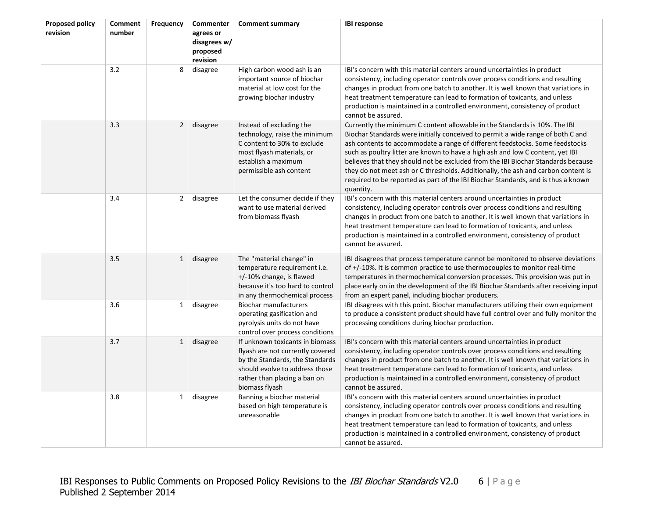| <b>Proposed policy</b><br>revision | Comment<br>number | Frequency      | Commenter<br>agrees or<br>disagrees w/<br>proposed<br>revision | <b>Comment summary</b>                                                                                                                                                                     | <b>IBI response</b>                                                                                                                                                                                                                                                                                                                                                                                                                                                                                                                                                                                        |
|------------------------------------|-------------------|----------------|----------------------------------------------------------------|--------------------------------------------------------------------------------------------------------------------------------------------------------------------------------------------|------------------------------------------------------------------------------------------------------------------------------------------------------------------------------------------------------------------------------------------------------------------------------------------------------------------------------------------------------------------------------------------------------------------------------------------------------------------------------------------------------------------------------------------------------------------------------------------------------------|
|                                    | 3.2               | 8              | disagree                                                       | High carbon wood ash is an<br>important source of biochar<br>material at low cost for the<br>growing biochar industry                                                                      | IBI's concern with this material centers around uncertainties in product<br>consistency, including operator controls over process conditions and resulting<br>changes in product from one batch to another. It is well known that variations in<br>heat treatment temperature can lead to formation of toxicants, and unless<br>production is maintained in a controlled environment, consistency of product<br>cannot be assured.                                                                                                                                                                         |
|                                    | 3.3               | $\overline{2}$ | disagree                                                       | Instead of excluding the<br>technology, raise the minimum<br>C content to 30% to exclude<br>most flyash materials, or<br>establish a maximum<br>permissible ash content                    | Currently the minimum C content allowable in the Standards is 10%. The IBI<br>Biochar Standards were initially conceived to permit a wide range of both C and<br>ash contents to accommodate a range of different feedstocks. Some feedstocks<br>such as poultry litter are known to have a high ash and low C content, yet IBI<br>believes that they should not be excluded from the IBI Biochar Standards because<br>they do not meet ash or C thresholds. Additionally, the ash and carbon content is<br>required to be reported as part of the IBI Biochar Standards, and is thus a known<br>quantity. |
|                                    | 3.4               | $\overline{2}$ | disagree                                                       | Let the consumer decide if they<br>want to use material derived<br>from biomass flyash                                                                                                     | IBI's concern with this material centers around uncertainties in product<br>consistency, including operator controls over process conditions and resulting<br>changes in product from one batch to another. It is well known that variations in<br>heat treatment temperature can lead to formation of toxicants, and unless<br>production is maintained in a controlled environment, consistency of product<br>cannot be assured.                                                                                                                                                                         |
|                                    | 3.5               | $\mathbf{1}$   | disagree                                                       | The "material change" in<br>temperature requirement i.e.<br>+/-10% change, is flawed<br>because it's too hard to control<br>in any thermochemical process                                  | IBI disagrees that process temperature cannot be monitored to observe deviations<br>of +/-10%. It is common practice to use thermocouples to monitor real-time<br>temperatures in thermochemical conversion processes. This provision was put in<br>place early on in the development of the IBI Biochar Standards after receiving input<br>from an expert panel, including biochar producers.                                                                                                                                                                                                             |
|                                    | 3.6               | $\mathbf{1}$   | disagree                                                       | <b>Biochar manufacturers</b><br>operating gasification and<br>pyrolysis units do not have<br>control over process conditions                                                               | IBI disagrees with this point. Biochar manufacturers utilizing their own equipment<br>to produce a consistent product should have full control over and fully monitor the<br>processing conditions during biochar production.                                                                                                                                                                                                                                                                                                                                                                              |
|                                    | 3.7               | $\mathbf{1}$   | disagree                                                       | If unknown toxicants in biomass<br>flyash are not currently covered<br>by the Standards, the Standards<br>should evolve to address those<br>rather than placing a ban on<br>biomass flyash | IBI's concern with this material centers around uncertainties in product<br>consistency, including operator controls over process conditions and resulting<br>changes in product from one batch to another. It is well known that variations in<br>heat treatment temperature can lead to formation of toxicants, and unless<br>production is maintained in a controlled environment, consistency of product<br>cannot be assured.                                                                                                                                                                         |
|                                    | 3.8               | 1              | disagree                                                       | Banning a biochar material<br>based on high temperature is<br>unreasonable                                                                                                                 | IBI's concern with this material centers around uncertainties in product<br>consistency, including operator controls over process conditions and resulting<br>changes in product from one batch to another. It is well known that variations in<br>heat treatment temperature can lead to formation of toxicants, and unless<br>production is maintained in a controlled environment, consistency of product<br>cannot be assured.                                                                                                                                                                         |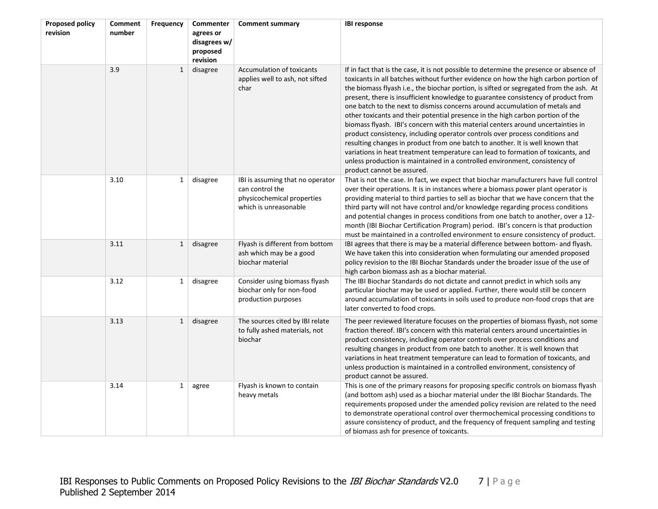| <b>Proposed policy</b><br>revision | Comment<br>number | Frequency    | Commenter<br>agrees or<br>disagrees w/<br>proposed<br>revision | <b>Comment summary</b>                                                                                     | <b>IBI response</b>                                                                                                                                                                                                                                                                                                                                                                                                                                                                                                                                                                                                                                                                                                                                                                                                                                                                                                                                                                  |
|------------------------------------|-------------------|--------------|----------------------------------------------------------------|------------------------------------------------------------------------------------------------------------|--------------------------------------------------------------------------------------------------------------------------------------------------------------------------------------------------------------------------------------------------------------------------------------------------------------------------------------------------------------------------------------------------------------------------------------------------------------------------------------------------------------------------------------------------------------------------------------------------------------------------------------------------------------------------------------------------------------------------------------------------------------------------------------------------------------------------------------------------------------------------------------------------------------------------------------------------------------------------------------|
|                                    | 3.9               | $\mathbf{1}$ | disagree                                                       | <b>Accumulation of toxicants</b><br>applies well to ash, not sifted<br>char                                | If in fact that is the case, it is not possible to determine the presence or absence of<br>toxicants in all batches without further evidence on how the high carbon portion of<br>the biomass flyash i.e., the biochar portion, is sifted or segregated from the ash. At<br>present, there is insufficient knowledge to guarantee consistency of product from<br>one batch to the next to dismiss concerns around accumulation of metals and<br>other toxicants and their potential presence in the high carbon portion of the<br>biomass flyash. IBI's concern with this material centers around uncertainties in<br>product consistency, including operator controls over process conditions and<br>resulting changes in product from one batch to another. It is well known that<br>variations in heat treatment temperature can lead to formation of toxicants, and<br>unless production is maintained in a controlled environment, consistency of<br>product cannot be assured. |
|                                    | 3.10              | 1            | disagree                                                       | IBI is assuming that no operator<br>can control the<br>physicochemical properties<br>which is unreasonable | That is not the case. In fact, we expect that biochar manufacturers have full control<br>over their operations. It is in instances where a biomass power plant operator is<br>providing material to third parties to sell as biochar that we have concern that the<br>third party will not have control and/or knowledge regarding process conditions<br>and potential changes in process conditions from one batch to another, over a 12-<br>month (IBI Biochar Certification Program) period. IBI's concern is that production<br>must be maintained in a controlled environment to ensure consistency of product.                                                                                                                                                                                                                                                                                                                                                                 |
|                                    | 3.11              | $\mathbf{1}$ | disagree                                                       | Flyash is different from bottom<br>ash which may be a good<br>biochar material                             | IBI agrees that there is may be a material difference between bottom- and flyash.<br>We have taken this into consideration when formulating our amended proposed<br>policy revision to the IBI Biochar Standards under the broader issue of the use of<br>high carbon biomass ash as a biochar material.                                                                                                                                                                                                                                                                                                                                                                                                                                                                                                                                                                                                                                                                             |
|                                    | 3.12              | $\mathbf{1}$ | disagree                                                       | Consider using biomass flyash<br>biochar only for non-food<br>production purposes                          | The IBI Biochar Standards do not dictate and cannot predict in which soils any<br>particular biochar may be used or applied. Further, there would still be concern<br>around accumulation of toxicants in soils used to produce non-food crops that are<br>later converted to food crops.                                                                                                                                                                                                                                                                                                                                                                                                                                                                                                                                                                                                                                                                                            |
|                                    | 3.13              | $\mathbf{1}$ | disagree                                                       | The sources cited by IBI relate<br>to fully ashed materials, not<br>biochar                                | The peer reviewed literature focuses on the properties of biomass flyash, not some<br>fraction thereof. IBI's concern with this material centers around uncertainties in<br>product consistency, including operator controls over process conditions and<br>resulting changes in product from one batch to another. It is well known that<br>variations in heat treatment temperature can lead to formation of toxicants, and<br>unless production is maintained in a controlled environment, consistency of<br>product cannot be assured.                                                                                                                                                                                                                                                                                                                                                                                                                                           |
|                                    | 3.14              | $\mathbf{1}$ | agree                                                          | Flyash is known to contain<br>heavy metals                                                                 | This is one of the primary reasons for proposing specific controls on biomass flyash<br>(and bottom ash) used as a biochar material under the IBI Biochar Standards. The<br>requirements proposed under the amended policy revision are related to the need<br>to demonstrate operational control over thermochemical processing conditions to<br>assure consistency of product, and the frequency of frequent sampling and testing<br>of biomass ash for presence of toxicants.                                                                                                                                                                                                                                                                                                                                                                                                                                                                                                     |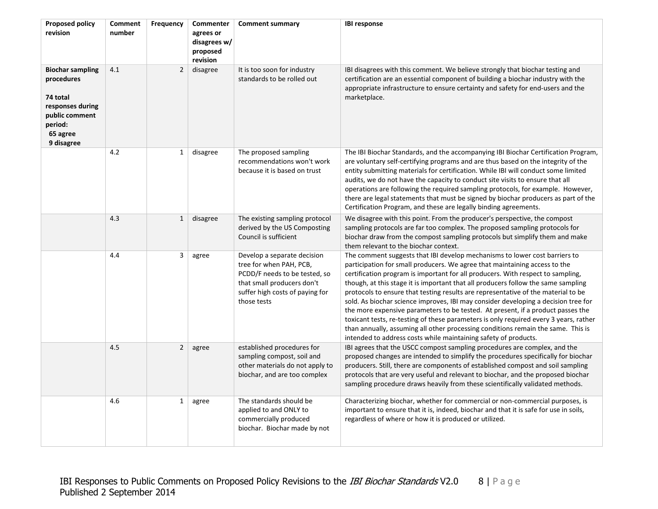| <b>Proposed policy</b><br>revision                                                                                           | Comment<br>number | <b>Frequency</b> | Commenter<br>agrees or<br>disagrees w/<br>proposed<br>revision | <b>Comment summary</b>                                                                                                                                                  | <b>IBI response</b>                                                                                                                                                                                                                                                                                                                                                                                                                                                                                                                                                                                                                                                                                                                                                                                                                            |
|------------------------------------------------------------------------------------------------------------------------------|-------------------|------------------|----------------------------------------------------------------|-------------------------------------------------------------------------------------------------------------------------------------------------------------------------|------------------------------------------------------------------------------------------------------------------------------------------------------------------------------------------------------------------------------------------------------------------------------------------------------------------------------------------------------------------------------------------------------------------------------------------------------------------------------------------------------------------------------------------------------------------------------------------------------------------------------------------------------------------------------------------------------------------------------------------------------------------------------------------------------------------------------------------------|
| <b>Biochar sampling</b><br>procedures<br>74 total<br>responses during<br>public comment<br>period:<br>65 agree<br>9 disagree | 4.1               | $\overline{2}$   | disagree                                                       | It is too soon for industry<br>standards to be rolled out                                                                                                               | IBI disagrees with this comment. We believe strongly that biochar testing and<br>certification are an essential component of building a biochar industry with the<br>appropriate infrastructure to ensure certainty and safety for end-users and the<br>marketplace.                                                                                                                                                                                                                                                                                                                                                                                                                                                                                                                                                                           |
|                                                                                                                              | 4.2               | $\mathbf{1}$     | disagree                                                       | The proposed sampling<br>recommendations won't work<br>because it is based on trust                                                                                     | The IBI Biochar Standards, and the accompanying IBI Biochar Certification Program,<br>are voluntary self-certifying programs and are thus based on the integrity of the<br>entity submitting materials for certification. While IBI will conduct some limited<br>audits, we do not have the capacity to conduct site visits to ensure that all<br>operations are following the required sampling protocols, for example. However,<br>there are legal statements that must be signed by biochar producers as part of the<br>Certification Program, and these are legally binding agreements.                                                                                                                                                                                                                                                    |
|                                                                                                                              | 4.3               | $\mathbf{1}$     | disagree                                                       | The existing sampling protocol<br>derived by the US Composting<br>Council is sufficient                                                                                 | We disagree with this point. From the producer's perspective, the compost<br>sampling protocols are far too complex. The proposed sampling protocols for<br>biochar draw from the compost sampling protocols but simplify them and make<br>them relevant to the biochar context.                                                                                                                                                                                                                                                                                                                                                                                                                                                                                                                                                               |
|                                                                                                                              | 4.4               | 3                | agree                                                          | Develop a separate decision<br>tree for when PAH, PCB,<br>PCDD/F needs to be tested, so<br>that small producers don't<br>suffer high costs of paying for<br>those tests | The comment suggests that IBI develop mechanisms to lower cost barriers to<br>participation for small producers. We agree that maintaining access to the<br>certification program is important for all producers. With respect to sampling,<br>though, at this stage it is important that all producers follow the same sampling<br>protocols to ensure that testing results are representative of the material to be<br>sold. As biochar science improves, IBI may consider developing a decision tree for<br>the more expensive parameters to be tested. At present, if a product passes the<br>toxicant tests, re-testing of these parameters is only required every 3 years, rather<br>than annually, assuming all other processing conditions remain the same. This is<br>intended to address costs while maintaining safety of products. |
|                                                                                                                              | 4.5               | $\overline{2}$   | agree                                                          | established procedures for<br>sampling compost, soil and<br>other materials do not apply to<br>biochar, and are too complex                                             | IBI agrees that the USCC compost sampling procedures are complex, and the<br>proposed changes are intended to simplify the procedures specifically for biochar<br>producers. Still, there are components of established compost and soil sampling<br>protocols that are very useful and relevant to biochar, and the proposed biochar<br>sampling procedure draws heavily from these scientifically validated methods.                                                                                                                                                                                                                                                                                                                                                                                                                         |
|                                                                                                                              | 4.6               | 1                | agree                                                          | The standards should be<br>applied to and ONLY to<br>commercially produced<br>biochar. Biochar made by not                                                              | Characterizing biochar, whether for commercial or non-commercial purposes, is<br>important to ensure that it is, indeed, biochar and that it is safe for use in soils,<br>regardless of where or how it is produced or utilized.                                                                                                                                                                                                                                                                                                                                                                                                                                                                                                                                                                                                               |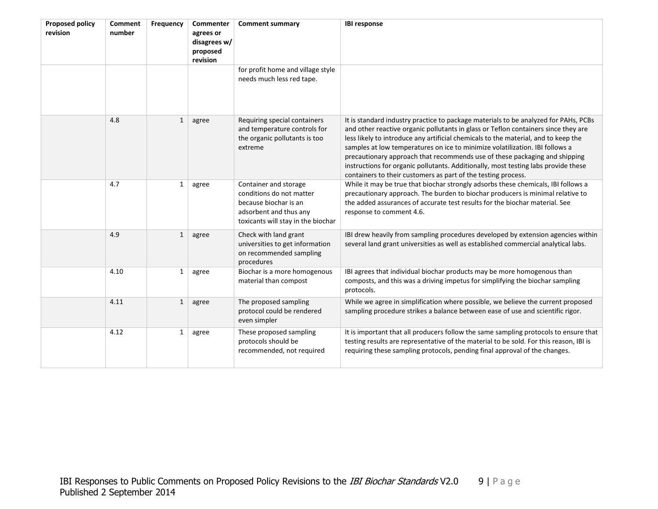| <b>Proposed policy</b><br>revision | Comment<br>number | Frequency    | Commenter<br>agrees or<br>disagrees w/<br>proposed<br>revision | <b>Comment summary</b>                                                                                                                     | <b>IBI response</b>                                                                                                                                                                                                                                                                                                                                                                                                                                                                                                                                                                  |
|------------------------------------|-------------------|--------------|----------------------------------------------------------------|--------------------------------------------------------------------------------------------------------------------------------------------|--------------------------------------------------------------------------------------------------------------------------------------------------------------------------------------------------------------------------------------------------------------------------------------------------------------------------------------------------------------------------------------------------------------------------------------------------------------------------------------------------------------------------------------------------------------------------------------|
|                                    |                   |              |                                                                | for profit home and village style<br>needs much less red tape.                                                                             |                                                                                                                                                                                                                                                                                                                                                                                                                                                                                                                                                                                      |
|                                    | 4.8               | $\mathbf{1}$ | agree                                                          | Requiring special containers<br>and temperature controls for<br>the organic pollutants is too<br>extreme                                   | It is standard industry practice to package materials to be analyzed for PAHs, PCBs<br>and other reactive organic pollutants in glass or Teflon containers since they are<br>less likely to introduce any artificial chemicals to the material, and to keep the<br>samples at low temperatures on ice to minimize volatilization. IBI follows a<br>precautionary approach that recommends use of these packaging and shipping<br>instructions for organic pollutants. Additionally, most testing labs provide these<br>containers to their customers as part of the testing process. |
|                                    | 4.7               | $\mathbf{1}$ | agree                                                          | Container and storage<br>conditions do not matter<br>because biochar is an<br>adsorbent and thus any<br>toxicants will stay in the biochar | While it may be true that biochar strongly adsorbs these chemicals, IBI follows a<br>precautionary approach. The burden to biochar producers is minimal relative to<br>the added assurances of accurate test results for the biochar material. See<br>response to comment 4.6.                                                                                                                                                                                                                                                                                                       |
|                                    | 4.9               | $\mathbf{1}$ | agree                                                          | Check with land grant<br>universities to get information<br>on recommended sampling<br>procedures                                          | IBI drew heavily from sampling procedures developed by extension agencies within<br>several land grant universities as well as established commercial analytical labs.                                                                                                                                                                                                                                                                                                                                                                                                               |
|                                    | 4.10              | 1            | agree                                                          | Biochar is a more homogenous<br>material than compost                                                                                      | IBI agrees that individual biochar products may be more homogenous than<br>composts, and this was a driving impetus for simplifying the biochar sampling<br>protocols.                                                                                                                                                                                                                                                                                                                                                                                                               |
|                                    | 4.11              | $\mathbf{1}$ | agree                                                          | The proposed sampling<br>protocol could be rendered<br>even simpler                                                                        | While we agree in simplification where possible, we believe the current proposed<br>sampling procedure strikes a balance between ease of use and scientific rigor.                                                                                                                                                                                                                                                                                                                                                                                                                   |
|                                    | 4.12              | $\mathbf{1}$ | agree                                                          | These proposed sampling<br>protocols should be<br>recommended, not required                                                                | It is important that all producers follow the same sampling protocols to ensure that<br>testing results are representative of the material to be sold. For this reason, IBI is<br>requiring these sampling protocols, pending final approval of the changes.                                                                                                                                                                                                                                                                                                                         |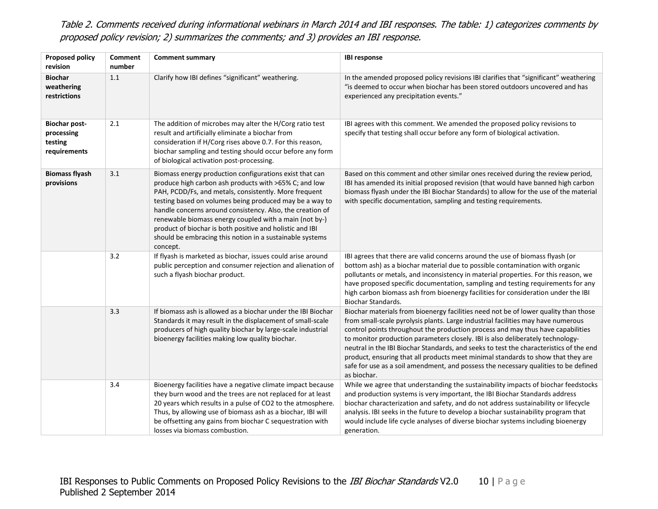## Table 2. Comments received during informational webinars in March 2014 and IBI responses. The table: 1) categorizes comments by proposed policy revision; 2) summarizes the comments; and 3) provides an IBI response.

| <b>Proposed policy</b><br>revision                            | Comment<br>number | <b>Comment summary</b>                                                                                                                                                                                                                                                                                                                                                                                                                                                                          | <b>IBI response</b>                                                                                                                                                                                                                                                                                                                                                                                                                                                                                                                                                                                                              |
|---------------------------------------------------------------|-------------------|-------------------------------------------------------------------------------------------------------------------------------------------------------------------------------------------------------------------------------------------------------------------------------------------------------------------------------------------------------------------------------------------------------------------------------------------------------------------------------------------------|----------------------------------------------------------------------------------------------------------------------------------------------------------------------------------------------------------------------------------------------------------------------------------------------------------------------------------------------------------------------------------------------------------------------------------------------------------------------------------------------------------------------------------------------------------------------------------------------------------------------------------|
| <b>Biochar</b><br>weathering<br>restrictions                  | 1.1               | Clarify how IBI defines "significant" weathering.                                                                                                                                                                                                                                                                                                                                                                                                                                               | In the amended proposed policy revisions IBI clarifies that "significant" weathering<br>"is deemed to occur when biochar has been stored outdoors uncovered and has<br>experienced any precipitation events."                                                                                                                                                                                                                                                                                                                                                                                                                    |
| <b>Biochar post-</b><br>processing<br>testing<br>requirements | 2.1               | The addition of microbes may alter the H/Corg ratio test<br>result and artificially eliminate a biochar from<br>consideration if H/Corg rises above 0.7. For this reason,<br>biochar sampling and testing should occur before any form<br>of biological activation post-processing.                                                                                                                                                                                                             | IBI agrees with this comment. We amended the proposed policy revisions to<br>specify that testing shall occur before any form of biological activation.                                                                                                                                                                                                                                                                                                                                                                                                                                                                          |
| <b>Biomass flyash</b><br>provisions                           | 3.1               | Biomass energy production configurations exist that can<br>produce high carbon ash products with >65% C; and low<br>PAH, PCDD/Fs, and metals, consistently. More frequent<br>testing based on volumes being produced may be a way to<br>handle concerns around consistency. Also, the creation of<br>renewable biomass energy coupled with a main (not by-)<br>product of biochar is both positive and holistic and IBI<br>should be embracing this notion in a sustainable systems<br>concept. | Based on this comment and other similar ones received during the review period,<br>IBI has amended its initial proposed revision (that would have banned high carbon<br>biomass flyash under the IBI Biochar Standards) to allow for the use of the material<br>with specific documentation, sampling and testing requirements.                                                                                                                                                                                                                                                                                                  |
|                                                               | 3.2               | If flyash is marketed as biochar, issues could arise around<br>public perception and consumer rejection and alienation of<br>such a flyash biochar product.                                                                                                                                                                                                                                                                                                                                     | IBI agrees that there are valid concerns around the use of biomass flyash (or<br>bottom ash) as a biochar material due to possible contamination with organic<br>pollutants or metals, and inconsistency in material properties. For this reason, we<br>have proposed specific documentation, sampling and testing requirements for any<br>high carbon biomass ash from bioenergy facilities for consideration under the IBI<br>Biochar Standards.                                                                                                                                                                               |
|                                                               | 3.3               | If biomass ash is allowed as a biochar under the IBI Biochar<br>Standards it may result in the displacement of small-scale<br>producers of high quality biochar by large-scale industrial<br>bioenergy facilities making low quality biochar.                                                                                                                                                                                                                                                   | Biochar materials from bioenergy facilities need not be of lower quality than those<br>from small-scale pyrolysis plants. Large industrial facilities may have numerous<br>control points throughout the production process and may thus have capabilities<br>to monitor production parameters closely. IBI is also deliberately technology-<br>neutral in the IBI Biochar Standards, and seeks to test the characteristics of the end<br>product, ensuring that all products meet minimal standards to show that they are<br>safe for use as a soil amendment, and possess the necessary qualities to be defined<br>as biochar. |
|                                                               | 3.4               | Bioenergy facilities have a negative climate impact because<br>they burn wood and the trees are not replaced for at least<br>20 years which results in a pulse of CO2 to the atmosphere.<br>Thus, by allowing use of biomass ash as a biochar, IBI will<br>be offsetting any gains from biochar C sequestration with<br>losses via biomass combustion.                                                                                                                                          | While we agree that understanding the sustainability impacts of biochar feedstocks<br>and production systems is very important, the IBI Biochar Standards address<br>biochar characterization and safety, and do not address sustainability or lifecycle<br>analysis. IBI seeks in the future to develop a biochar sustainability program that<br>would include life cycle analyses of diverse biochar systems including bioenergy<br>generation.                                                                                                                                                                                |